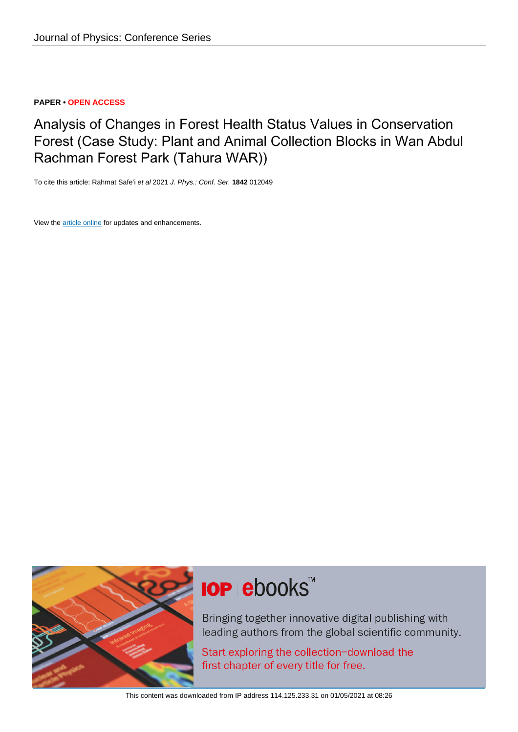# **PAPER • OPEN ACCESS**

Analysis of Changes in Forest Health Status Values in Conservation Forest (Case Study: Plant and Animal Collection Blocks in Wan Abdul Rachman Forest Park (Tahura WAR))

To cite this article: Rahmat Safe'i et al 2021 J. Phys.: Conf. Ser. **1842** 012049

View the [article online](https://doi.org/10.1088/1742-6596/1842/1/012049) for updates and enhancements.



# **IOP ebooks**™

Bringing together innovative digital publishing with leading authors from the global scientific community.

Start exploring the collection-download the first chapter of every title for free.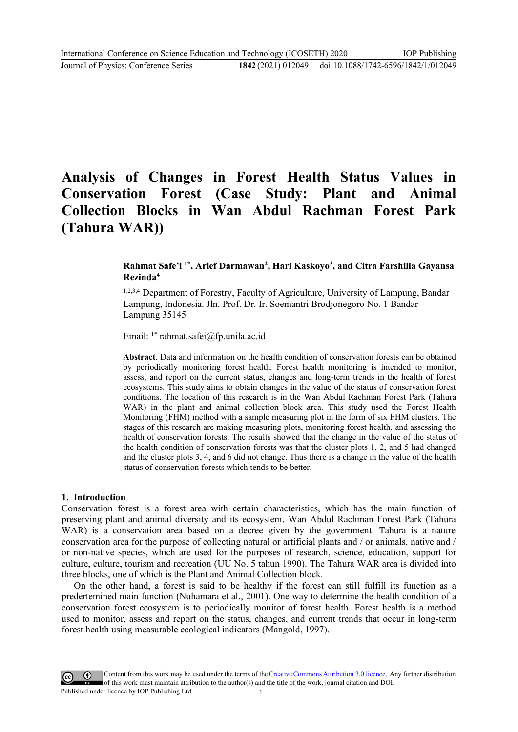# **Analysis of Changes in Forest Health Status Values in Conservation Forest (Case Study: Plant and Animal Collection Blocks in Wan Abdul Rachman Forest Park (Tahura WAR))**

# **Rahmat Safe'i 1\* , Arief Darmawan<sup>2</sup> , Hari Kaskoyo<sup>3</sup> , and Citra Farshilia Gayansa Rezinda<sup>4</sup>**

1,2,3,4 Department of Forestry, Faculty of Agriculture, University of Lampung, Bandar Lampung, Indonesia. Jln. Prof. Dr. Ir. Soemantri Brodjonegoro No. 1 Bandar Lampung 35145

Email: 1\* rahmat.safei@fp.unila.ac.id

**Abstract**. Data and information on the health condition of conservation forests can be obtained by periodically monitoring forest health. Forest health monitoring is intended to monitor, assess, and report on the current status, changes and long-term trends in the health of forest ecosystems. This study aims to obtain changes in the value of the status of conservation forest conditions. The location of this research is in the Wan Abdul Rachman Forest Park (Tahura WAR) in the plant and animal collection block area. This study used the Forest Health Monitoring (FHM) method with a sample measuring plot in the form of six FHM clusters. The stages of this research are making measuring plots, monitoring forest health, and assessing the health of conservation forests. The results showed that the change in the value of the status of the health condition of conservation forests was that the cluster plots 1, 2, and 5 had changed and the cluster plots 3, 4, and 6 did not change. Thus there is a change in the value of the health status of conservation forests which tends to be better.

#### **1. Introduction**

Conservation forest is a forest area with certain characteristics, which has the main function of preserving plant and animal diversity and its ecosystem. Wan Abdul Rachman Forest Park (Tahura WAR) is a conservation area based on a decree given by the government. Tahura is a nature conservation area for the purpose of collecting natural or artificial plants and / or animals, native and / or non-native species, which are used for the purposes of research, science, education, support for culture, culture, tourism and recreation (UU No. 5 tahun 1990). The Tahura WAR area is divided into three blocks, one of which is the Plant and Animal Collection block.

On the other hand, a forest is said to be healthy if the forest can still fulfill its function as a predertemined main function (Nuhamara et al., 2001). One way to determine the health condition of a conservation forest ecosystem is to periodically monitor of forest health. Forest health is a method used to monitor, assess and report on the status, changes, and current trends that occur in long-term forest health using measurable ecological indicators (Mangold, 1997).

Content from this work may be used under the terms of the Creative Commons Attribution 3.0 licence. Any further distribution of this work must maintain attribution to the author(s) and the title of the work, journal citation and DOI. Published under licence by IOP Publishing Ltd 1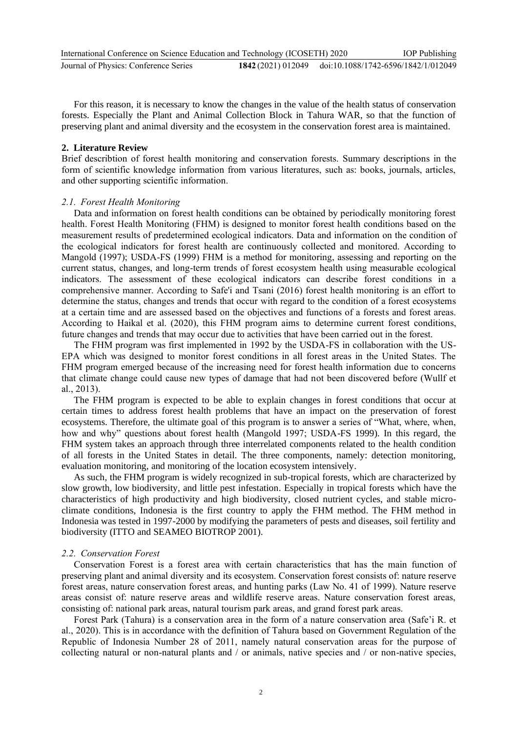For this reason, it is necessary to know the changes in the value of the health status of conservation forests. Especially the Plant and Animal Collection Block in Tahura WAR, so that the function of preserving plant and animal diversity and the ecosystem in the conservation forest area is maintained.

#### **2. Literature Review**

Brief describtion of forest health monitoring and conservation forests. Summary descriptions in the form of scientific knowledge information from various literatures, such as: books, journals, articles, and other supporting scientific information.

#### *2.1. Forest Health Monitoring*

Data and information on forest health conditions can be obtained by periodically monitoring forest health. Forest Health Monitoring (FHM) is designed to monitor forest health conditions based on the measurement results of predetermined ecological indicators. Data and information on the condition of the ecological indicators for forest health are continuously collected and monitored. According to Mangold (1997); USDA-FS (1999) FHM is a method for monitoring, assessing and reporting on the current status, changes, and long-term trends of forest ecosystem health using measurable ecological indicators. The assessment of these ecological indicators can describe forest conditions in a comprehensive manner. According to Safe'i and Tsani (2016) forest health monitoring is an effort to determine the status, changes and trends that occur with regard to the condition of a forest ecosystems at a certain time and are assessed based on the objectives and functions of a forests and forest areas. According to Haikal et al. (2020), this FHM program aims to determine current forest conditions, future changes and trends that may occur due to activities that have been carried out in the forest.

The FHM program was first implemented in 1992 by the USDA-FS in collaboration with the US-EPA which was designed to monitor forest conditions in all forest areas in the United States. The FHM program emerged because of the increasing need for forest health information due to concerns that climate change could cause new types of damage that had not been discovered before (Wullf et al., 2013).

The FHM program is expected to be able to explain changes in forest conditions that occur at certain times to address forest health problems that have an impact on the preservation of forest ecosystems. Therefore, the ultimate goal of this program is to answer a series of "What, where, when, how and why" questions about forest health (Mangold 1997; USDA-FS 1999). In this regard, the FHM system takes an approach through three interrelated components related to the health condition of all forests in the United States in detail. The three components, namely: detection monitoring, evaluation monitoring, and monitoring of the location ecosystem intensively.

As such, the FHM program is widely recognized in sub-tropical forests, which are characterized by slow growth, low biodiversity, and little pest infestation. Especially in tropical forests which have the characteristics of high productivity and high biodiversity, closed nutrient cycles, and stable microclimate conditions, Indonesia is the first country to apply the FHM method. The FHM method in Indonesia was tested in 1997-2000 by modifying the parameters of pests and diseases, soil fertility and biodiversity (ITTO and SEAMEO BIOTROP 2001).

#### *2.2. Conservation Forest*

Conservation Forest is a forest area with certain characteristics that has the main function of preserving plant and animal diversity and its ecosystem. Conservation forest consists of: nature reserve forest areas, nature conservation forest areas, and hunting parks (Law No. 41 of 1999). Nature reserve areas consist of: nature reserve areas and wildlife reserve areas. Nature conservation forest areas, consisting of: national park areas, natural tourism park areas, and grand forest park areas.

Forest Park (Tahura) is a conservation area in the form of a nature conservation area (Safe'i R. et al., 2020). This is in accordance with the definition of Tahura based on Government Regulation of the Republic of Indonesia Number 28 of 2011, namely natural conservation areas for the purpose of collecting natural or non-natural plants and / or animals, native species and / or non-native species,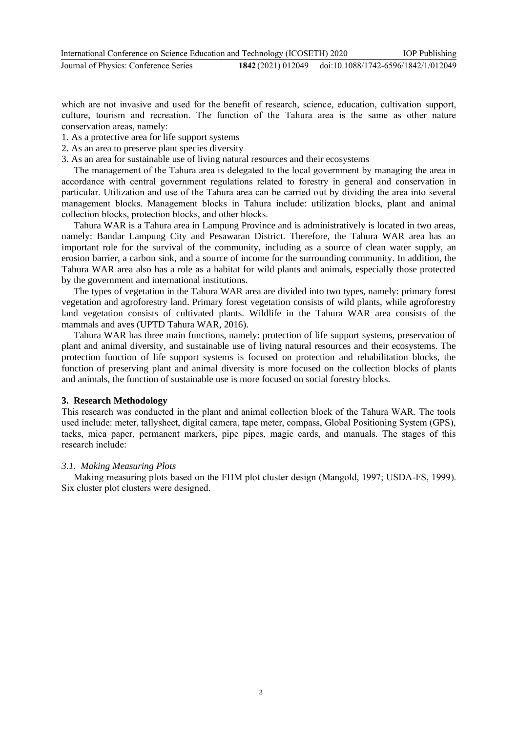which are not invasive and used for the benefit of research, science, education, cultivation support, culture, tourism and recreation. The function of the Tahura area is the same as other nature conservation areas, namely:

- 1. As a protective area for life support systems
- 2. As an area to preserve plant species diversity
- 3. As an area for sustainable use of living natural resources and their ecosystems

The management of the Tahura area is delegated to the local government by managing the area in accordance with central government regulations related to forestry in general and conservation in particular. Utilization and use of the Tahura area can be carried out by dividing the area into several management blocks. Management blocks in Tahura include: utilization blocks, plant and animal collection blocks, protection blocks, and other blocks.

Tahura WAR is a Tahura area in Lampung Province and is administratively is located in two areas, namely: Bandar Lampung City and Pesawaran District. Therefore, the Tahura WAR area has an important role for the survival of the community, including as a source of clean water supply, an erosion barrier, a carbon sink, and a source of income for the surrounding community. In addition, the Tahura WAR area also has a role as a habitat for wild plants and animals, especially those protected by the government and international institutions.

The types of vegetation in the Tahura WAR area are divided into two types, namely: primary forest vegetation and agroforestry land. Primary forest vegetation consists of wild plants, while agroforestry land vegetation consists of cultivated plants. Wildlife in the Tahura WAR area consists of the mammals and aves (UPTD Tahura WAR, 2016).

Tahura WAR has three main functions, namely: protection of life support systems, preservation of plant and animal diversity, and sustainable use of living natural resources and their ecosystems. The protection function of life support systems is focused on protection and rehabilitation blocks, the function of preserving plant and animal diversity is more focused on the collection blocks of plants and animals, the function of sustainable use is more focused on social forestry blocks.

# **3. Research Methodology**

This research was conducted in the plant and animal collection block of the Tahura WAR. The tools used include: meter, tallysheet, digital camera, tape meter, compass, Global Positioning System (GPS), tacks, mica paper, permanent markers, pipe pipes, magic cards, and manuals. The stages of this research include:

# *3.1. Making Measuring Plots*

Making measuring plots based on the FHM plot cluster design (Mangold, 1997; USDA-FS, 1999). Six cluster plot clusters were designed.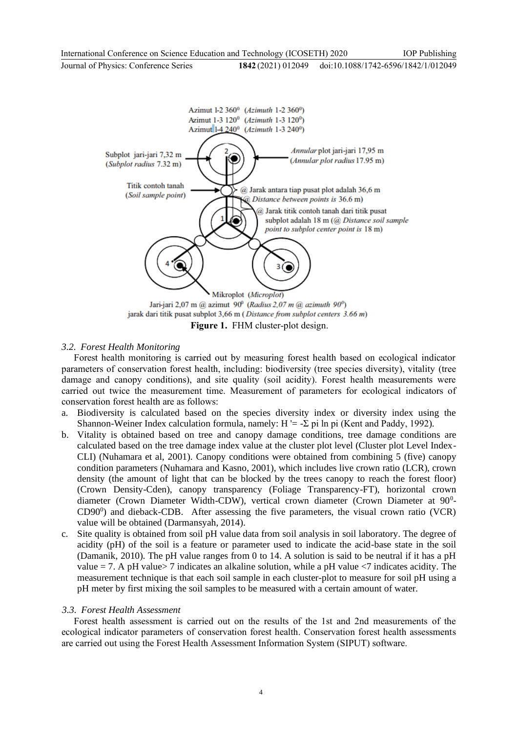

**Figure 1.** FHM cluster-plot design.

# *3.2. Forest Health Monitoring*

Forest health monitoring is carried out by measuring forest health based on ecological indicator parameters of conservation forest health, including: biodiversity (tree species diversity), vitality (tree damage and canopy conditions), and site quality (soil acidity). Forest health measurements were carried out twice the measurement time. Measurement of parameters for ecological indicators of conservation forest health are as follows:

- a. Biodiversity is calculated based on the species diversity index or diversity index using the Shannon-Weiner Index calculation formula, namely:  $H = -\Sigma$  pi ln pi (Kent and Paddy, 1992).
- b. Vitality is obtained based on tree and canopy damage conditions, tree damage conditions are calculated based on the tree damage index value at the cluster plot level (Cluster plot Level Index-CLI) (Nuhamara et al, 2001). Canopy conditions were obtained from combining 5 (five) canopy condition parameters (Nuhamara and Kasno, 2001), which includes live crown ratio (LCR), crown density (the amount of light that can be blocked by the trees canopy to reach the forest floor) (Crown Density-Cden), canopy transparency (Foliage Transparency-FT), horizontal crown diameter (Crown Diameter Width-CDW), vertical crown diameter (Crown Diameter at 90<sup>0</sup>-CD90<sup>0</sup>) and dieback-CDB. After assessing the five parameters, the visual crown ratio (VCR) value will be obtained (Darmansyah, 2014).
- c. Site quality is obtained from soil pH value data from soil analysis in soil laboratory. The degree of acidity (pH) of the soil is a feature or parameter used to indicate the acid-base state in the soil (Damanik, 2010). The pH value ranges from 0 to 14. A solution is said to be neutral if it has a pH value = 7. A pH value > 7 indicates an alkaline solution, while a pH value  $\langle$ 7 indicates acidity. The measurement technique is that each soil sample in each cluster-plot to measure for soil pH using a pH meter by first mixing the soil samples to be measured with a certain amount of water.

# *3.3. Forest Health Assessment*

Forest health assessment is carried out on the results of the 1st and 2nd measurements of the ecological indicator parameters of conservation forest health. Conservation forest health assessments are carried out using the Forest Health Assessment Information System (SIPUT) software.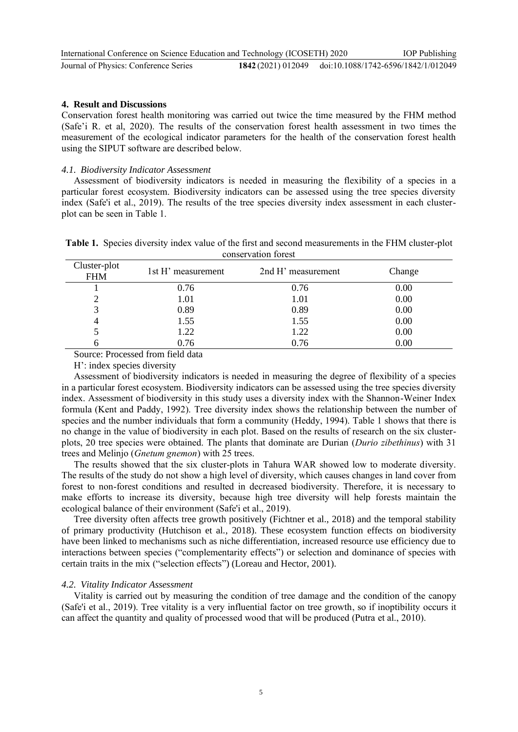| International Conference on Science Education and Technology (ICOSETH) 2020 |                                                        | <b>IOP</b> Publishing |
|-----------------------------------------------------------------------------|--------------------------------------------------------|-----------------------|
| Journal of Physics: Conference Series                                       | 1842 (2021) 012049 doi:10.1088/1742-6596/1842/1/012049 |                       |

#### **4. Result and Discussions**

Conservation forest health monitoring was carried out twice the time measured by the FHM method (Safe'i R. et al, 2020). The results of the conservation forest health assessment in two times the measurement of the ecological indicator parameters for the health of the conservation forest health using the SIPUT software are described below.

#### *4.1. Biodiversity Indicator Assessment*

Assessment of biodiversity indicators is needed in measuring the flexibility of a species in a particular forest ecosystem. Biodiversity indicators can be assessed using the tree species diversity index (Safe'i et al., 2019). The results of the tree species diversity index assessment in each clusterplot can be seen in Table 1.

| Table 1. Species diversity index value of the first and second measurements in the FHM cluster-plot |
|-----------------------------------------------------------------------------------------------------|
| conservation forest                                                                                 |

| Cluster-plot<br><b>FHM</b> | 1st H' measurement | 2nd H' measurement | Change |
|----------------------------|--------------------|--------------------|--------|
|                            | 0.76               | 0.76               | 0.00   |
|                            | 1.01               | 1.01               | 0.00   |
|                            | 0.89               | 0.89               | 0.00   |
|                            | 1.55               | 1.55               | 0.00   |
|                            | 1.22               | 1.22               | 0.00   |
|                            | 0.76               | 0.76               | 0.00   |

Source: Processed from field data

H': index species diversity

Assessment of biodiversity indicators is needed in measuring the degree of flexibility of a species in a particular forest ecosystem. Biodiversity indicators can be assessed using the tree species diversity index. Assessment of biodiversity in this study uses a diversity index with the Shannon-Weiner Index formula (Kent and Paddy, 1992). Tree diversity index shows the relationship between the number of species and the number individuals that form a community (Heddy, 1994). Table 1 shows that there is no change in the value of biodiversity in each plot. Based on the results of research on the six clusterplots, 20 tree species were obtained. The plants that dominate are Durian (*Durio zibethinus*) with 31 trees and Melinjo (*Gnetum gnemon*) with 25 trees.

The results showed that the six cluster-plots in Tahura WAR showed low to moderate diversity. The results of the study do not show a high level of diversity, which causes changes in land cover from forest to non-forest conditions and resulted in decreased biodiversity. Therefore, it is necessary to make efforts to increase its diversity, because high tree diversity will help forests maintain the ecological balance of their environment (Safe'i et al., 2019).

Tree diversity often affects tree growth positively (Fichtner et al., 2018) and the temporal stability of primary productivity (Hutchison et al., 2018). These ecosystem function effects on biodiversity have been linked to mechanisms such as niche differentiation, increased resource use efficiency due to interactions between species ("complementarity effects") or selection and dominance of species with certain traits in the mix ("selection effects") (Loreau and Hector, 2001).

#### *4.2. Vitality Indicator Assessment*

Vitality is carried out by measuring the condition of tree damage and the condition of the canopy (Safe'i et al., 2019). Tree vitality is a very influential factor on tree growth, so if inoptibility occurs it can affect the quantity and quality of processed wood that will be produced (Putra et al., 2010).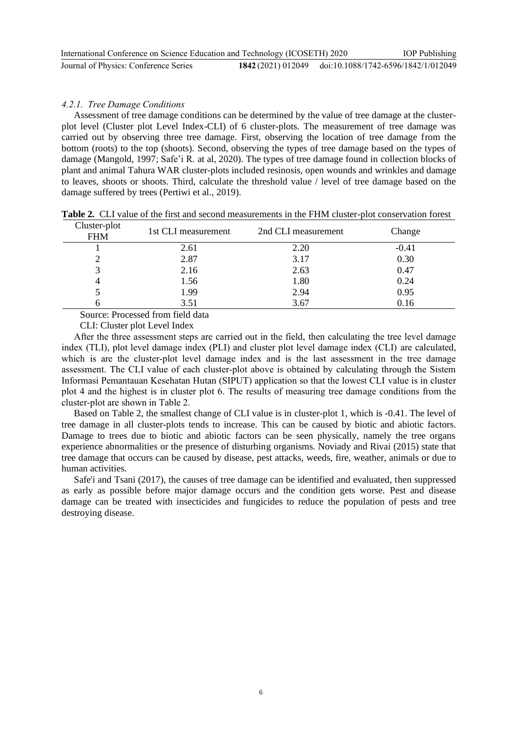| International Conference on Science Education and Technology (ICOSETH) 2020 |                                                        | <b>IOP</b> Publishing |
|-----------------------------------------------------------------------------|--------------------------------------------------------|-----------------------|
| Journal of Physics: Conference Series                                       | 1842 (2021) 012049 doi:10.1088/1742-6596/1842/1/012049 |                       |

#### *4.2.1. Tree Damage Conditions*

Assessment of tree damage conditions can be determined by the value of tree damage at the clusterplot level (Cluster plot Level Index-CLI) of 6 cluster-plots. The measurement of tree damage was carried out by observing three tree damage. First, observing the location of tree damage from the bottom (roots) to the top (shoots). Second, observing the types of tree damage based on the types of damage (Mangold, 1997; Safe'i R. at al, 2020). The types of tree damage found in collection blocks of plant and animal Tahura WAR cluster-plots included resinosis, open wounds and wrinkles and damage to leaves, shoots or shoots. Third, calculate the threshold value / level of tree damage based on the damage suffered by trees (Pertiwi et al., 2019).

| Cluster-plot<br><b>FHM</b> | 1st CLI measurement | 2nd CLI measurement | Change  |
|----------------------------|---------------------|---------------------|---------|
|                            | 2.61                | 2.20                | $-0.41$ |
|                            | 2.87                | 3.17                | 0.30    |
|                            | 2.16                | 2.63                | 0.47    |
| $\overline{4}$             | 1.56                | 1.80                | 0.24    |
|                            | 1.99                | 2.94                | 0.95    |
|                            | 3.51                | 3.67                | 0.16    |

**Table 2.** CLI value of the first and second measurements in the FHM cluster-plot conservation forest

Source: Processed from field data

CLI: Cluster plot Level Index

After the three assessment steps are carried out in the field, then calculating the tree level damage index (TLI), plot level damage index (PLI) and cluster plot level damage index (CLI) are calculated, which is are the cluster-plot level damage index and is the last assessment in the tree damage assessment. The CLI value of each cluster-plot above is obtained by calculating through the Sistem Informasi Pemantauan Kesehatan Hutan (SIPUT) application so that the lowest CLI value is in cluster plot 4 and the highest is in cluster plot 6. The results of measuring tree damage conditions from the cluster-plot are shown in Table 2.

Based on Table 2, the smallest change of CLI value is in cluster-plot 1, which is -0.41. The level of tree damage in all cluster-plots tends to increase. This can be caused by biotic and abiotic factors. Damage to trees due to biotic and abiotic factors can be seen physically, namely the tree organs experience abnormalities or the presence of disturbing organisms. Noviady and Rivai (2015) state that tree damage that occurs can be caused by disease, pest attacks, weeds, fire, weather, animals or due to human activities.

Safe'i and Tsani (2017), the causes of tree damage can be identified and evaluated, then suppressed as early as possible before major damage occurs and the condition gets worse. Pest and disease damage can be treated with insecticides and fungicides to reduce the population of pests and tree destroying disease.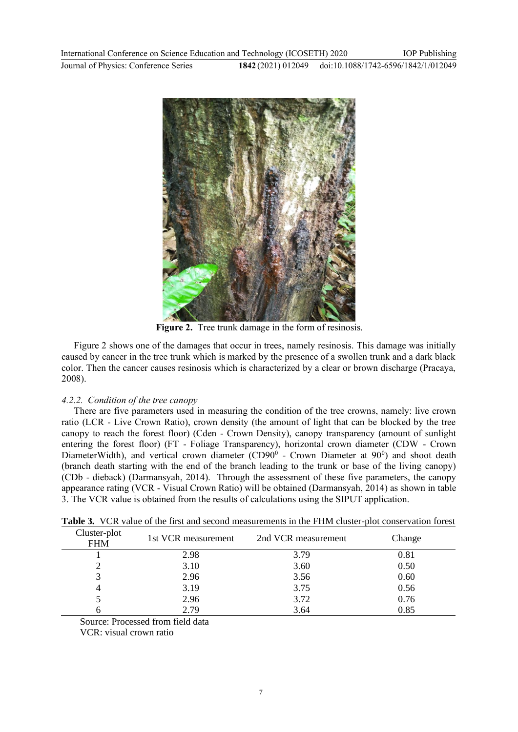

**Figure 2.** Tree trunk damage in the form of resinosis.

Figure 2 shows one of the damages that occur in trees, namely resinosis. This damage was initially caused by cancer in the tree trunk which is marked by the presence of a swollen trunk and a dark black color. Then the cancer causes resinosis which is characterized by a clear or brown discharge (Pracaya, 2008).

# *4.2.2. Condition of the tree canopy*

There are five parameters used in measuring the condition of the tree crowns, namely: live crown ratio (LCR - Live Crown Ratio), crown density (the amount of light that can be blocked by the tree canopy to reach the forest floor) (Cden - Crown Density), canopy transparency (amount of sunlight entering the forest floor) (FT - Foliage Transparency), horizontal crown diameter (CDW - Crown DiameterWidth), and vertical crown diameter (CD90 $^0$  - Crown Diameter at 90 $^0$ ) and shoot death (branch death starting with the end of the branch leading to the trunk or base of the living canopy) (CDb - dieback) (Darmansyah, 2014). Through the assessment of these five parameters, the canopy appearance rating (VCR - Visual Crown Ratio) will be obtained (Darmansyah, 2014) as shown in table 3. The VCR value is obtained from the results of calculations using the SIPUT application.

| Cluster-plot<br><b>FHM</b> | 1st VCR measurement | 2nd VCR measurement | Change |
|----------------------------|---------------------|---------------------|--------|
|                            | 2.98                | 3.79                | 0.81   |
|                            | 3.10                | 3.60                | 0.50   |
|                            | 2.96                | 3.56                | 0.60   |
|                            | 3.19                | 3.75                | 0.56   |
|                            | 2.96                | 3.72                | 0.76   |
|                            | 2.79                | 3.64                | 0.85   |

**Table 3.** VCR value of the first and second measurements in the FHM cluster-plot conservation forest

Source: Processed from field data

VCR: visual crown ratio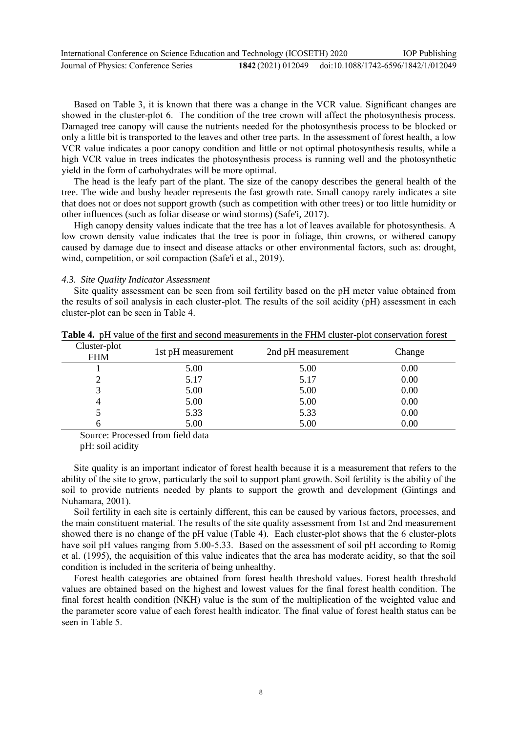| International Conference on Science Education and Technology (ICOSETH) 2020 |                                                        | <b>IOP</b> Publishing |
|-----------------------------------------------------------------------------|--------------------------------------------------------|-----------------------|
| Journal of Physics: Conference Series                                       | 1842 (2021) 012049 doi:10.1088/1742-6596/1842/1/012049 |                       |

Based on Table 3, it is known that there was a change in the VCR value. Significant changes are showed in the cluster-plot 6. The condition of the tree crown will affect the photosynthesis process. Damaged tree canopy will cause the nutrients needed for the photosynthesis process to be blocked or only a little bit is transported to the leaves and other tree parts. In the assessment of forest health, a low VCR value indicates a poor canopy condition and little or not optimal photosynthesis results, while a high VCR value in trees indicates the photosynthesis process is running well and the photosynthetic yield in the form of carbohydrates will be more optimal.

The head is the leafy part of the plant. The size of the canopy describes the general health of the tree. The wide and bushy header represents the fast growth rate. Small canopy rarely indicates a site that does not or does not support growth (such as competition with other trees) or too little humidity or other influences (such as foliar disease or wind storms) (Safe'i, 2017).

High canopy density values indicate that the tree has a lot of leaves available for photosynthesis. A low crown density value indicates that the tree is poor in foliage, thin crowns, or withered canopy caused by damage due to insect and disease attacks or other environmental factors, such as: drought, wind, competition, or soil compaction (Safe'i et al., 2019).

*4.3. Site Quality Indicator Assessment*

Site quality assessment can be seen from soil fertility based on the pH meter value obtained from the results of soil analysis in each cluster-plot. The results of the soil acidity (pH) assessment in each cluster-plot can be seen in Table 4.

| Cluster-plot<br><b>FHM</b> | 1st pH measurement | 2nd pH measurement | Change |
|----------------------------|--------------------|--------------------|--------|
|                            | 5.00               | 5.00               | 0.00   |
|                            | 5.17               | 5.17               | 0.00   |
|                            | 5.00               | 5.00               | 0.00   |
|                            | 5.00               | 5.00               | 0.00   |
|                            | 5.33               | 5.33               | 0.00   |
|                            | 5.00               | 5.00               | 0.00   |

**Table 4.** pH value of the first and second measurements in the FHM cluster-plot conservation forest

Source: Processed from field data

pH: soil acidity

Site quality is an important indicator of forest health because it is a measurement that refers to the ability of the site to grow, particularly the soil to support plant growth. Soil fertility is the ability of the soil to provide nutrients needed by plants to support the growth and development (Gintings and Nuhamara, 2001).

Soil fertility in each site is certainly different, this can be caused by various factors, processes, and the main constituent material. The results of the site quality assessment from 1st and 2nd measurement showed there is no change of the pH value (Table 4). Each cluster-plot shows that the 6 cluster-plots have soil pH values ranging from 5.00-5.33. Based on the assessment of soil pH according to Romig et al. (1995), the acquisition of this value indicates that the area has moderate acidity, so that the soil condition is included in the scriteria of being unhealthy.

Forest health categories are obtained from forest health threshold values. Forest health threshold values are obtained based on the highest and lowest values for the final forest health condition. The final forest health condition (NKH) value is the sum of the multiplication of the weighted value and the parameter score value of each forest health indicator. The final value of forest health status can be seen in Table 5.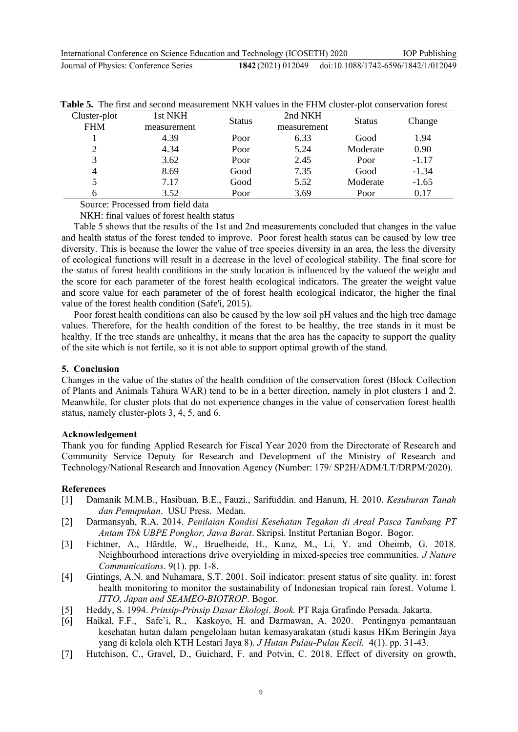| International Conference on Science Education and Technology (ICOSETH) 2020 |                                                        | <b>IOP</b> Publishing |
|-----------------------------------------------------------------------------|--------------------------------------------------------|-----------------------|
| Journal of Physics: Conference Series                                       | 1842 (2021) 012049 doi:10.1088/1742-6596/1842/1/012049 |                       |

|              | THE HIGH WILL SEEDLICE HIGHGERICITY IS THAT I WILLOW HIS TIMITY CHASTER. |               |             |               | <u>DIO L'OILDOI I GUIOII I DI ODL</u> |
|--------------|--------------------------------------------------------------------------|---------------|-------------|---------------|---------------------------------------|
| Cluster-plot | 1st NKH                                                                  | <b>Status</b> | 2nd NKH     | <b>Status</b> | Change                                |
| <b>FHM</b>   | measurement                                                              |               | measurement |               |                                       |
|              | 4.39                                                                     | Poor          | 6.33        | Good          | 1.94                                  |
|              | 4.34                                                                     | Poor          | 5.24        | Moderate      | 0.90                                  |
| 3            | 3.62                                                                     | Poor          | 2.45        | Poor          | $-1.17$                               |
|              | 8.69                                                                     | Good          | 7.35        | Good          | $-1.34$                               |
|              | 7.17                                                                     | Good          | 5.52        | Moderate      | $-1.65$                               |
| h            | 3.52                                                                     | Poor          | 3.69        | Poor          | 0.17                                  |

|  |  |  |  |  |  |  | <b>Table 5.</b> The first and second measurement NKH values in the FHM cluster-plot conservation forest |
|--|--|--|--|--|--|--|---------------------------------------------------------------------------------------------------------|
|--|--|--|--|--|--|--|---------------------------------------------------------------------------------------------------------|

Source: Processed from field data

NKH: final values of forest health status

Table 5 shows that the results of the 1st and 2nd measurements concluded that changes in the value and health status of the forest tended to improve. Poor forest health status can be caused by low tree diversity. This is because the lower the value of tree species diversity in an area, the less the diversity of ecological functions will result in a decrease in the level of ecological stability. The final score for the status of forest health conditions in the study location is influenced by the valueof the weight and the score for each parameter of the forest health ecological indicators. The greater the weight value and score value for each parameter of the of forest health ecological indicator, the higher the final value of the forest health condition (Safe'i, 2015).

Poor forest health conditions can also be caused by the low soil pH values and the high tree damage values. Therefore, for the health condition of the forest to be healthy, the tree stands in it must be healthy. If the tree stands are unhealthy, it means that the area has the capacity to support the quality of the site which is not fertile, so it is not able to support optimal growth of the stand.

#### **5. Conclusion**

Changes in the value of the status of the health condition of the conservation forest (Block Collection of Plants and Animals Tahura WAR) tend to be in a better direction, namely in plot clusters 1 and 2. Meanwhile, for cluster plots that do not experience changes in the value of conservation forest health status, namely cluster-plots 3, 4, 5, and 6.

# **Acknowledgement**

Thank you for funding Applied Research for Fiscal Year 2020 from the Directorate of Research and Community Service Deputy for Research and Development of the Ministry of Research and Technology/National Research and Innovation Agency (Number: 179/ SP2H/ADM/LT/DRPM/2020).

#### **References**

- [1] Damanik M.M.B., Hasibuan, B.E., Fauzi., Sarifuddin. and Hanum, H. 2010. *Kesuburan Tanah dan Pemupukan*. USU Press. Medan.
- [2] Darmansyah, R.A. 2014. *Penilaian Kondisi Kesehatan Tegakan di Areal Pasca Tambang PT Antam Tbk UBPE Pongkor, Jawa Barat*. Skripsi. Institut Pertanian Bogor. Bogor.
- [3] Fichtner, A., Härdtle, W., Bruelheide, H., Kunz, M., Li, Y. and Oheimb, G. 2018. Neighbourhood interactions drive overyielding in mixed‐species tree communities. *J Nature Communications*. 9(1). pp. 1-8.
- [4] Gintings, A.N. and Nuhamara, S.T. 2001. Soil indicator: present status of site quality*.* in: forest health monitoring to monitor the sustainability of Indonesian tropical rain forest. Volume I. *ITTO, Japan and SEAMEO-BIOTROP*. Bogor.
- [5] Heddy, S. 1994. *Prinsip-Prinsip Dasar Ekologi*. *Book.* PT Raja Grafindo Persada. Jakarta.
- [6] Haikal, F.F., Safe'i, R., Kaskoyo, H. and Darmawan, A. 2020. Pentingnya pemantauan kesehatan hutan dalam pengelolaan hutan kemasyarakatan (studi kasus HKm Beringin Jaya yang di kelola oleh KTH Lestari Jaya 8). *J Hutan Pulau-Pulau Kecil.* 4(1). pp. 31-43.
- [7] Hutchison, C., Gravel, D., Guichard, F. and Potvin, C. 2018. Effect of diversity on growth,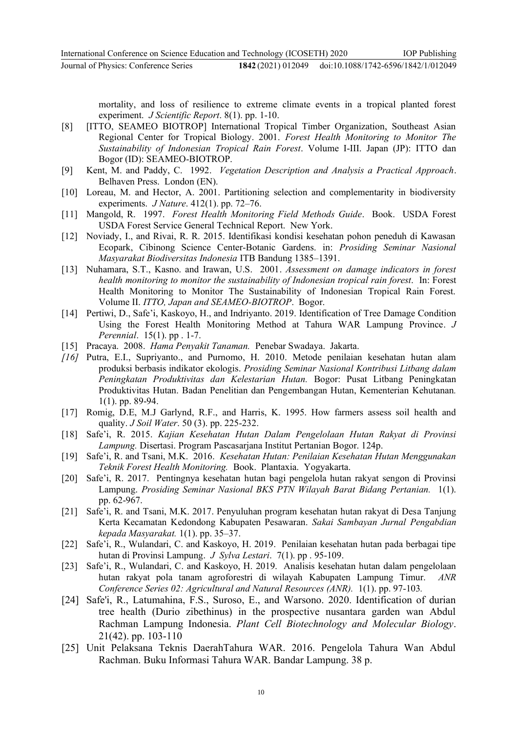mortality, and loss of resilience to extreme climate events in a tropical planted forest

- experiment. *J Scientific Report*. 8(1). pp. 1-10. [8] [ITTO, SEAMEO BIOTROP] International Tropical Timber Organization, Southeast Asian
- Regional Center for Tropical Biology. 2001. *Forest Health Monitoring to Monitor The Sustainability of Indonesian Tropical Rain Forest*. Volume I-III. Japan (JP): ITTO dan Bogor (ID): SEAMEO-BIOTROP.
- [9] Kent, M. and Paddy, C. 1992. *Vegetation Description and Analysis a Practical Approach*. Belhaven Press. London (EN).
- [10] Loreau, M. and Hector, A. 2001. Partitioning selection and complementarity in biodiversity experiments. *J Nature*. 412(1). pp. 72–76.
- [11] Mangold, R. 1997. *Forest Health Monitoring Field Methods Guide*. Book. USDA Forest USDA Forest Service General Technical Report. New York.
- [12] Noviady, I., and Rivai, R. R. 2015. Identifikasi kondisi kesehatan pohon peneduh di Kawasan Ecopark, Cibinong Science Center-Botanic Gardens. in: *Prosiding Seminar Nasional Masyarakat Biodiversitas Indonesia* ITB Bandung 1385–1391.
- [13] Nuhamara, S.T., Kasno. and Irawan, U.S. 2001. *Assessment on damage indicators in forest health monitoring to monitor the sustainability of Indonesian tropical rain forest*. In: Forest Health Monitoring to Monitor The Sustainability of Indonesian Tropical Rain Forest. Volume II. *ITTO, Japan and SEAMEO-BIOTROP*. Bogor.
- [14] Pertiwi, D., Safe'i, Kaskoyo, H., and Indriyanto. 2019. Identification of Tree Damage Condition Using the Forest Health Monitoring Method at Tahura WAR Lampung Province. *J Perennial*. 15(1). pp . 1-7.
- [15] Pracaya. 2008. *Hama Penyakit Tanaman.* Penebar Swadaya. Jakarta.
- *[16]* Putra, E.I., Supriyanto., and Purnomo, H. 2010. Metode penilaian kesehatan hutan alam produksi berbasis indikator ekologis. *Prosiding Seminar Nasional Kontribusi Litbang dalam Peningkatan Produktivitas dan Kelestarian Hutan.* Bogor: Pusat Litbang Peningkatan Produktivitas Hutan. Badan Penelitian dan Pengembangan Hutan, Kementerian Kehutanan*.*  1(1). pp. 89-94.
- [17] Romig, D.E, M.J Garlynd, R.F., and Harris, K. 1995. How farmers assess soil health and quality. *J Soil Water*. 50 (3). pp. 225-232.
- [18] Safe'i, R. 2015. *Kajian Kesehatan Hutan Dalam Pengelolaan Hutan Rakyat di Provinsi Lampung.* Disertasi. Program Pascasarjana Institut Pertanian Bogor. 124p.
- [19] Safe'i, R. and Tsani, M.K. 2016. *Kesehatan Hutan: Penilaian Kesehatan Hutan Menggunakan Teknik Forest Health Monitoring.* Book. Plantaxia. Yogyakarta.
- [20] Safe'i, R. 2017. Pentingnya kesehatan hutan bagi pengelola hutan rakyat sengon di Provinsi Lampung. *Prosiding Seminar Nasional BKS PTN Wilayah Barat Bidang Pertanian.* 1(1). pp. 62-967.
- [21] Safe'i, R. and Tsani, M.K. 2017. Penyuluhan program kesehatan hutan rakyat di Desa Tanjung Kerta Kecamatan Kedondong Kabupaten Pesawaran. *Sakai Sambayan Jurnal Pengabdian kepada Masyarakat.* 1(1). pp. 35–37.
- [22] Safe'i, R., Wulandari, C. and Kaskoyo, H. 2019. Penilaian kesehatan hutan pada berbagai tipe hutan di Provinsi Lampung. *J Sylva Lestari*. 7(1). pp . 95-109.
- [23] Safe'i, R., Wulandari, C. and Kaskoyo, H. 2019. Analisis kesehatan hutan dalam pengelolaan hutan rakyat pola tanam agroforestri di wilayah Kabupaten Lampung Timur. *ANR Conference Series 02: Agricultural and Natural Resources (ANR).* 1(1). pp. 97-103*.*
- [24] Safe'i, R., Latumahina, F.S., Suroso, E., and Warsono. 2020. Identification of durian tree health (Durio zibethinus) in the prospective nusantara garden wan Abdul Rachman Lampung Indonesia. *Plant Cell Biotechnology and Molecular Biology*. 21(42). pp. 103-110
- [25] Unit Pelaksana Teknis DaerahTahura WAR. 2016. Pengelola Tahura Wan Abdul Rachman. Buku Informasi Tahura WAR. Bandar Lampung. 38 p.